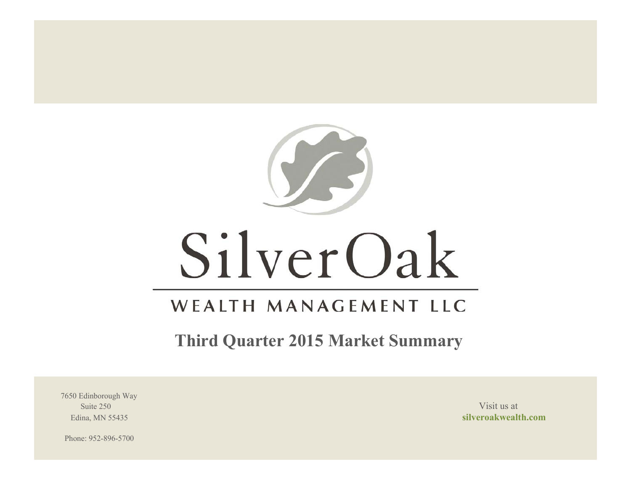

# SilverOak

# WEALTH MANAGEMENT LLC

**Third Quarter 2015 Market Summary**

7650 Edinborough Way Suite 250 Visit us at the set of the set of the set of the set of the set of the set of the set of the set of the set of the set of the set of the set of the set of the set of the set of the set of the set of the set of th

Edina, MN 55435 **silveroakwealth.com**

Phone: 952-896-5700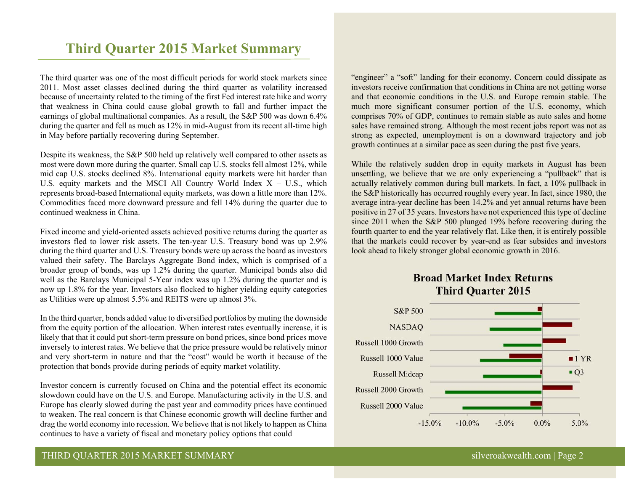# **Third Quarter 2015 Market Summary**

The third quarter was one of the most difficult periods for world stock markets since 2011. Most asset classes declined during the third quarter as volatility increased because of uncertainty related to the timing of the first Fed interest rate hike and worry that weakness in China could cause global growth to fall and further impact the earnings of global multinational companies. As a result, the S&P 500 was down 6.4% during the quarter and fell as much as 12% in mid-August from its recent all-time high in May before partially recovering during September.

Despite its weakness, the S&P 500 held up relatively well compared to other assets as most were down more during the quarter. Small cap U.S. stocks fell almost 12%, while mid cap U.S. stocks declined 8%. International equity markets were hit harder than U.S. equity markets and the MSCI All Country World Index  $X - U.S.,$  which represents broad-based International equity markets, was down a little more than 12%. Commodities faced more downward pressure and fell 14% during the quarter due to continued weakness in China.

Fixed income and yield-oriented assets achieved positive returns during the quarter as investors fled to lower risk assets. The ten-year U.S. Treasury bond was up 2.9% during the third quarter and U.S. Treasury bonds were up across the board as investors valued their safety. The Barclays Aggregate Bond index, which is comprised of a broader group of bonds, was up 1.2% during the quarter. Municipal bonds also did well as the Barclays Municipal 5-Year index was up 1.2% during the quarter and is now up 1.8% for the year. Investors also flocked to higher yielding equity categories as Utilities were up almost 5.5% and REITS were up almost 3%.

In the third quarter, bonds added value to diversified portfolios by muting the downside from the equity portion of the allocation. When interest rates eventually increase, it is likely that that it could put short-term pressure on bond prices, since bond prices move inversely to interest rates. We believe that the price pressure would be relatively minor and very short-term in nature and that the "cost" would be worth it because of the protection that bonds provide during periods of equity market volatility.

Investor concern is currently focused on China and the potential effect its economic slowdown could have on the U.S. and Europe. Manufacturing activity in the U.S. and Europe has clearly slowed during the past year and commodity prices have continued to weaken. The real concern is that Chinese economic growth will decline further and drag the world economy into recession. We believe that is not likely to happen as China continues to have a variety of fiscal and monetary policy options that could

"engineer" a "soft" landing for their economy. Concern could dissipate as investors receive confirmation that conditions in China are not getting worse and that economic conditions in the U.S. and Europe remain stable. The much more significant consumer portion of the U.S. economy, which comprises 70% of GDP, continues to remain stable as auto sales and home sales have remained strong. Although the most recent jobs report was not as strong as expected, unemployment is on a downward trajectory and job growth continues at a similar pace as seen during the past five years.

While the relatively sudden drop in equity markets in August has been unsettling, we believe that we are only experiencing a "pullback" that is actually relatively common during bull markets. In fact, a 10% pullback in the S&P historically has occurred roughly every year. In fact, since 1980, the average intra-year decline has been 14.2% and yet annual returns have been positive in 27 of 35 years. Investors have not experienced this type of decline since 2011 when the S&P 500 plunged 19% before recovering during the fourth quarter to end the year relatively flat. Like then, it is entirely possible that the markets could recover by year-end as fear subsides and investors look ahead to likely stronger global economic growth in 2016.





# THIRD QUARTER 2015 MARKET SUMMARY SILVERO SILVERO SILVERO SILVERO SILVERO SILVERO SILVERO SILVERO SILVERO SILVERO SILVERO SILVERO SILVERO SILVERO SILVERO SILVERO SILVERO SILVERO SILVERO SILVERO SILVERO SILVERO SILVERO SILV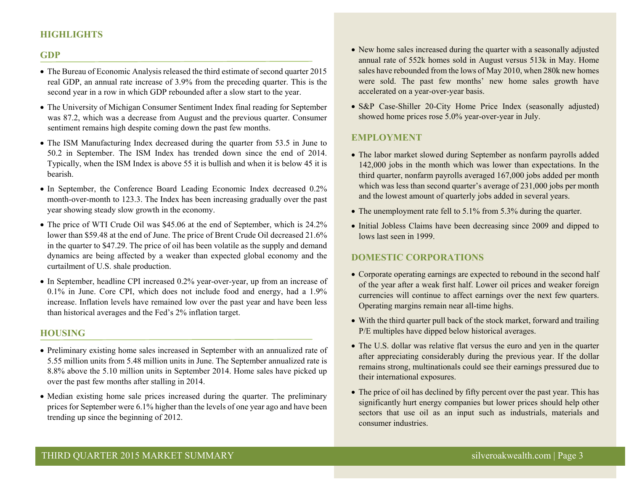# **HIGHLIGHTS**

#### **GDP**

- The Bureau of Economic Analysis released the third estimate of second quarter 2015 real GDP, an annual rate increase of 3.9% from the preceding quarter. This is the second year in a row in which GDP rebounded after a slow start to the year.
- The University of Michigan Consumer Sentiment Index final reading for September was 87.2, which was a decrease from August and the previous quarter. Consumer sentiment remains high despite coming down the past few months.
- The ISM Manufacturing Index decreased during the quarter from 53.5 in June to 50.2 in September. The ISM Index has trended down since the end of 2014. Typically, when the ISM Index is above 55 it is bullish and when it is below 45 it is bearish.
- In September, the Conference Board Leading Economic Index decreased 0.2% month-over-month to 123.3. The Index has been increasing gradually over the past year showing steady slow growth in the economy.
- The price of WTI Crude Oil was \$45.06 at the end of September, which is 24.2% lower than \$59.48 at the end of June. The price of Brent Crude Oil decreased 21.6% in the quarter to \$47.29. The price of oil has been volatile as the supply and demand dynamics are being affected by a weaker than expected global economy and the curtailment of U.S. shale production.
- In September, headline CPI increased 0.2% year-over-year, up from an increase of 0.1% in June. Core CPI, which does not include food and energy, had a 1.9% increase. Inflation levels have remained low over the past year and have been less than historical averages and the Fed's 2% inflation target.

#### **HOUSING**

- Preliminary existing home sales increased in September with an annualized rate of 5.55 million units from 5.48 million units in June. The September annualized rate is 8.8% above the 5.10 million units in September 2014. Home sales have picked up over the past few months after stalling in 2014.
- Median existing home sale prices increased during the quarter. The preliminary prices for September were 6.1% higher than the levels of one year ago and have been trending up since the beginning of 2012.
- New home sales increased during the quarter with a seasonally adjusted annual rate of 552k homes sold in August versus 513k in May. Home sales have rebounded from the lows of May 2010, when 280k new homes were sold. The past few months' new home sales growth have accelerated on a year-over-year basis.
- S&P Case-Shiller 20-City Home Price Index (seasonally adjusted) showed home prices rose 5.0% year-over-year in July.

## **EMPLOYMENT**

- The labor market slowed during September as nonfarm payrolls added 142,000 jobs in the month which was lower than expectations. In the third quarter, nonfarm payrolls averaged 167,000 jobs added per month which was less than second quarter's average of 231,000 jobs per month and the lowest amount of quarterly jobs added in several years.
- The unemployment rate fell to 5.1% from 5.3% during the quarter.
- Initial Jobless Claims have been decreasing since 2009 and dipped to lows last seen in 1999.

#### **DOMESTIC CORPORATIONS**

- Corporate operating earnings are expected to rebound in the second half of the year after a weak first half. Lower oil prices and weaker foreign currencies will continue to affect earnings over the next few quarters. Operating margins remain near all-time highs.
- With the third quarter pull back of the stock market, forward and trailing P/E multiples have dipped below historical averages.
- The U.S. dollar was relative flat versus the euro and yen in the quarter after appreciating considerably during the previous year. If the dollar remains strong, multinationals could see their earnings pressured due to their international exposures.
- The price of oil has declined by fifty percent over the past year. This has significantly hurt energy companies but lower prices should help other sectors that use oil as an input such as industrials, materials and consumer industries.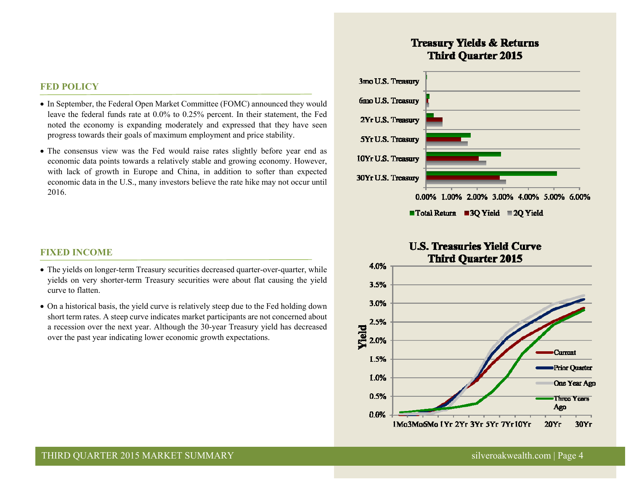#### **FED POLICY**

- In September, the Federal Open Market Committee (FOMC) announced they would leave the federal funds rate at 0.0% to 0.25% percent. In their statement, the Fed noted the economy is expanding moderately and expressed that they have seen progress towards their goals of maximum employment and price stability.
- The consensus view was the Fed would raise rates slightly before year end as economic data points towards a relatively stable and growing economy. However, with lack of growth in Europe and China, in addition to softer than expected economic data in the U.S., many investors believe the rate hike may not occur until 2016.

#### **FIXED INCOME**

- The yields on longer-term Treasury securities decreased quarter-over-quarter, while yields on very shorter-term Treasury securities were about flat causing the yield curve to flatten.
- On a historical basis, the yield curve is relatively steep due to the Fed holding down short term rates. A steep curve indicates market participants are not concerned about a recession over the next year. Although the 30-year Treasury yield has decreased over the past year indicating lower economic growth expectations.

# **Treasury Yields & Returns Third Quarter 2015**



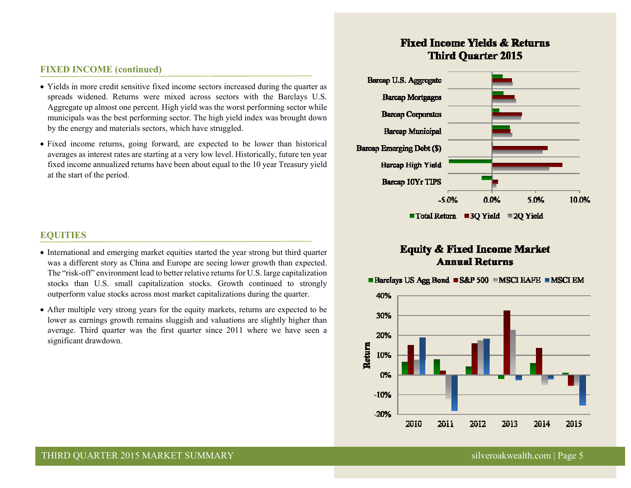# **FIXED INCOME (continued)**

- Yields in more credit sensitive fixed income sectors increased during the quarter as spreads widened. Returns were mixed across sectors with the Barclays U.S. Aggregate up almost one percent. High yield was the worst performing sector while municipals was the best performing sector. The high yield index was brought down by the energy and materials sectors, which have struggled.
- Fixed income returns, going forward, are expected to be lower than historical averages as interest rates are starting at a very low level. Historically, future ten year fixed income annualized returns have been about equal to the 10 year Treasury yield at the start of the period.

# **EQUITIES**

- International and emerging market equities started the year strong but third quarter was a different story as China and Europe are seeing lower growth than expected. The "risk-off" environment lead to better relative returns for U.S. large capitalization stocks than U.S. small capitalization stocks. Growth continued to strongly outperform value stocks across most market capitalizations during the quarter.
- After multiple very strong years for the equity markets, returns are expected to be lower as earnings growth remains sluggish and valuations are slightly higher than average. Third quarter was the first quarter since 2011 where we have seen a significant drawdown.

# **Fixed Income Yields & Returns Third Quarter 2015**



# **Equity & Fixed Income Market Annual Returns**



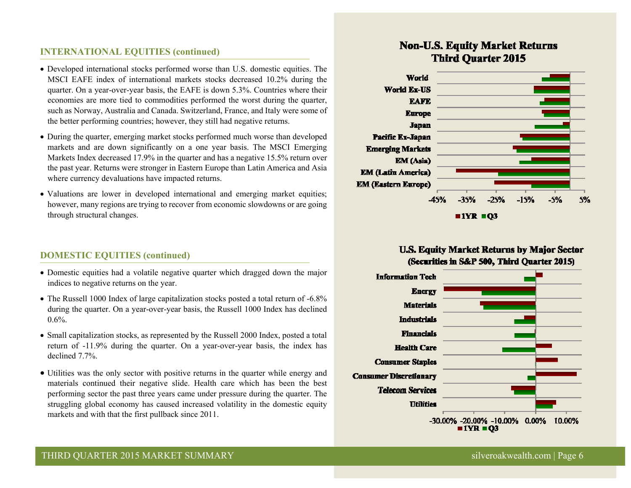# **INTERNATIONAL EQUITIES (continued)**

- Developed international stocks performed worse than U.S. domestic equities. The MSCI EAFE index of international markets stocks decreased 10.2% during the quarter. On a year-over-year basis, the EAFE is down 5.3%. Countries where their economies are more tied to commodities performed the worst during the quarter, such as Norway, Australia and Canada. Switzerland, France, and Italy were some of the better performing countries; however, they still had negative returns.
- During the quarter, emerging market stocks performed much worse than developed markets and are down significantly on a one year basis. The MSCI Emerging Markets Index decreased 17.9% in the quarter and has a negative 15.5% return over the past year. Returns were stronger in Eastern Europe than Latin America and Asia where currency devaluations have impacted returns.
- Valuations are lower in developed international and emerging market equities; however, many regions are trying to recover from economic slowdowns or are going through structural changes.

# **DOMESTIC EQUITIES (continued)**

- Domestic equities had a volatile negative quarter which dragged down the major indices to negative returns on the year.
- The Russell 1000 Index of large capitalization stocks posted a total return of -6.8% during the quarter. On a year-over-year basis, the Russell 1000 Index has declined  $0.6\%$ .
- Small capitalization stocks, as represented by the Russell 2000 Index, posted a total return of -11.9% during the quarter. On a year-over-year basis, the index has declined 7.7%.
- Utilities was the only sector with positive returns in the quarter while energy and materials continued their negative slide. Health care which has been the best performing sector the past three years came under pressure during the quarter. The struggling global economy has caused increased volatility in the domestic equity markets and with that the first pullback since 2011.

# **Non-U.S. Equity Market Returns Third Ouarter 2015**



# **U.S. Equity Market Returns by Major Sector** (Securities in S&P 500, Third Quarter 2015)